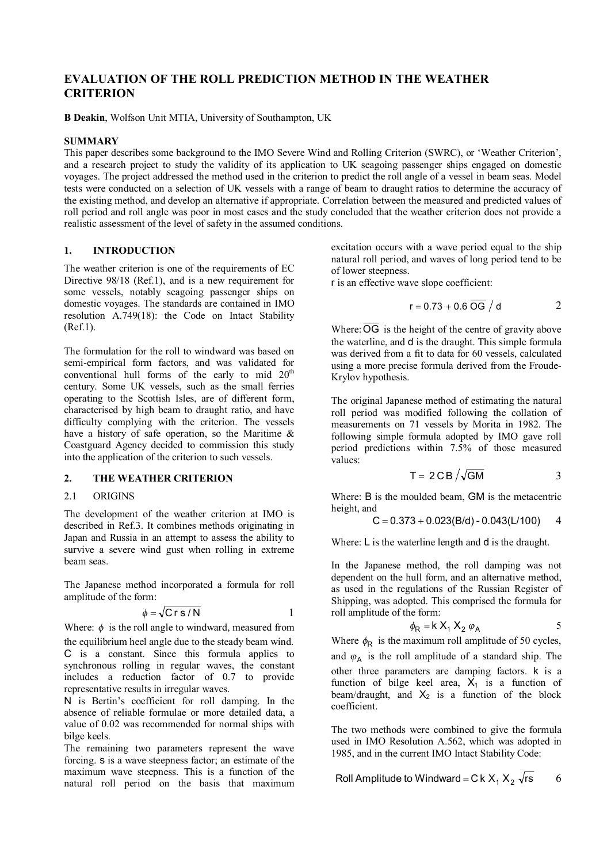# **EVALUATION OF THE ROLL PREDICTION METHOD IN THE WEATHER CRITERION**

**B Deakin**, Wolfson Unit MTIA, University of Southampton, UK

## **SUMMARY**

This paper describes some background to the IMO Severe Wind and Rolling Criterion (SWRC), or 'Weather Criterion', and a research project to study the validity of its application to UK seagoing passenger ships engaged on domestic voyages. The project addressed the method used in the criterion to predict the roll angle of a vessel in beam seas. Model tests were conducted on a selection of UK vessels with a range of beam to draught ratios to determine the accuracy of the existing method, and develop an alternative if appropriate. Correlation between the measured and predicted values of roll period and roll angle was poor in most cases and the study concluded that the weather criterion does not provide a realistic assessment of the level of safety in the assumed conditions.

## **1. INTRODUCTION**

The weather criterion is one of the requirements of EC Directive 98/18 (Ref.1), and is a new requirement for some vessels, notably seagoing passenger ships on domestic voyages. The standards are contained in IMO resolution A.749(18): the Code on Intact Stability (Ref.1).

The formulation for the roll to windward was based on semi-empirical form factors, and was validated for conventional hull forms of the early to mid 20<sup>th</sup> century. Some UK vessels, such as the small ferries operating to the Scottish Isles, are of different form, characterised by high beam to draught ratio, and have difficulty complying with the criterion. The vessels have a history of safe operation, so the Maritime  $\&$ Coastguard Agency decided to commission this study into the application of the criterion to such vessels.

## **2. THE WEATHER CRITERION**

### 2.1 ORIGINS

The development of the weather criterion at IMO is described in Ref.3. It combines methods originating in Japan and Russia in an attempt to assess the ability to survive a severe wind gust when rolling in extreme beam seas.

The Japanese method incorporated a formula for roll amplitude of the form:

$$
\phi = \sqrt{C r s / N}
$$
 1

Where:  $\phi$  is the roll angle to windward, measured from

the equilibrium heel angle due to the steady beam wind. C is a constant. Since this formula applies to synchronous rolling in regular waves, the constant includes a reduction factor of 0.7 to provide representative results in irregular waves.

N is Bertin's coefficient for roll damping. In the absence of reliable formulae or more detailed data, a value of 0.02 was recommended for normal ships with bilge keels.

The remaining two parameters represent the wave forcing. s is a wave steepness factor; an estimate of the maximum wave steepness. This is a function of the natural roll period on the basis that maximum

excitation occurs with a wave period equal to the ship natural roll period, and waves of long period tend to be of lower steepness.

r is an effective wave slope coefficient:

$$
r = 0.73 + 0.6 \overline{OG} / d
$$
 2

Where:  $\overline{OG}$  is the height of the centre of gravity above the waterline, and d is the draught. This simple formula was derived from a fit to data for 60 vessels, calculated using a more precise formula derived from the Froude-Krylov hypothesis.

The original Japanese method of estimating the natural roll period was modified following the collation of measurements on 71 vessels by Morita in 1982. The following simple formula adopted by IMO gave roll period predictions within 7.5% of those measured values:

$$
T = 2CB / \sqrt{GM}
$$
 3

Where: B is the moulded beam, GM is the metacentric height, and

$$
C = 0.373 + 0.023(B/d) - 0.043(L/100) \qquad 4
$$

Where: L is the waterline length and d is the draught.

In the Japanese method, the roll damping was not dependent on the hull form, and an alternative method, as used in the regulations of the Russian Register of Shipping, was adopted. This comprised the formula for roll amplitude of the form:

$$
\phi_{\mathsf{R}} = \mathsf{k} \; \mathsf{X}_1 \; \mathsf{X}_2 \; \varphi_{\mathsf{A}} \qquad \qquad \qquad 5
$$

Where  $\phi_R$  is the maximum roll amplitude of 50 cycles, and  $\varphi_A$  is the roll amplitude of a standard ship. The other three parameters are damping factors. k is a function of bilge keel area,  $\overrightarrow{X}_1$  is a function of beam/draught, and  $X_2$  is a function of the block coefficient.

The two methods were combined to give the formula used in IMO Resolution A.562, which was adopted in 1985, and in the current IMO Intact Stability Code:

Roll Amplitude to Windward = C k  $X_1 X_2 \sqrt{rs}$  6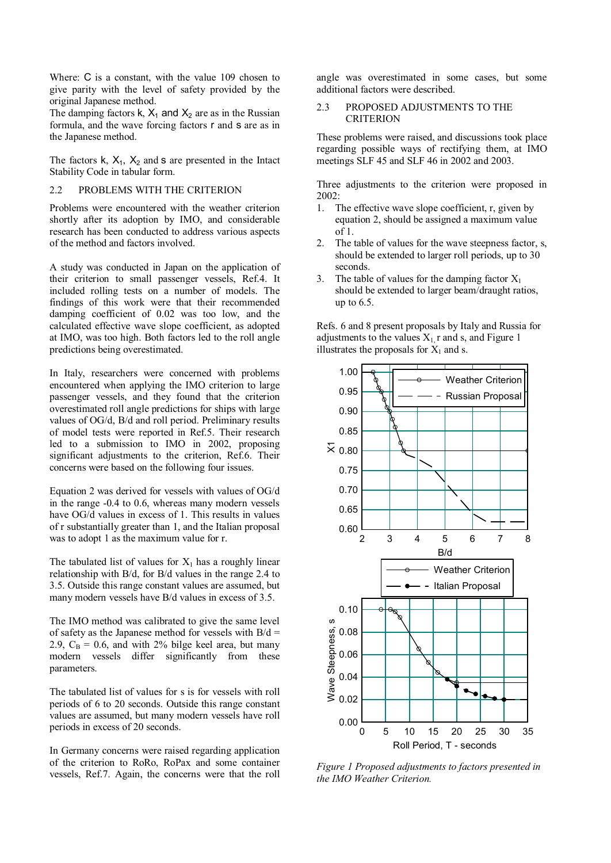Where: C is a constant, with the value 109 chosen to give parity with the level of safety provided by the original Japanese method.

The damping factors  $k$ ,  $X_1$  and  $X_2$  are as in the Russian formula, and the wave forcing factors r and s are as in the Japanese method.

The factors  $k$ ,  $X_1$ ,  $X_2$  and  $s$  are presented in the Intact Stability Code in tabular form.

2.2 PROBLEMS WITH THE CRITERION

Problems were encountered with the weather criterion shortly after its adoption by IMO, and considerable research has been conducted to address various aspects of the method and factors involved.

A study was conducted in Japan on the application of their criterion to small passenger vessels, Ref.4. It included rolling tests on a number of models. The findings of this work were that their recommended damping coefficient of 0.02 was too low, and the calculated effective wave slope coefficient, as adopted at IMO, was too high. Both factors led to the roll angle predictions being overestimated.

In Italy, researchers were concerned with problems encountered when applying the IMO criterion to large passenger vessels, and they found that the criterion overestimated roll angle predictions for ships with large values of OG/d, B/d and roll period. Preliminary results of model tests were reported in Ref.5. Their research led to a submission to IMO in 2002, proposing significant adjustments to the criterion, Ref.6. Their concerns were based on the following four issues.

Equation 2 was derived for vessels with values of OG/d in the range -0.4 to 0.6, whereas many modern vessels have OG/d values in excess of 1. This results in values of r substantially greater than 1, and the Italian proposal was to adopt 1 as the maximum value for r.

The tabulated list of values for  $X_1$  has a roughly linear relationship with B/d, for B/d values in the range 2.4 to 3.5. Outside this range constant values are assumed, but many modern vessels have B/d values in excess of 3.5.

The IMO method was calibrated to give the same level of safety as the Japanese method for vessels with  $B/d =$ 2.9,  $C_B = 0.6$ , and with 2% bilge keel area, but many modern vessels differ significantly from these parameters.

The tabulated list of values for s is for vessels with roll periods of 6 to 20 seconds. Outside this range constant values are assumed, but many modern vessels have roll periods in excess of 20 seconds.

In Germany concerns were raised regarding application of the criterion to RoRo, RoPax and some container vessels, Ref.7. Again, the concerns were that the roll angle was overestimated in some cases, but some additional factors were described.

#### 2.3 PROPOSED ADJUSTMENTS TO THE **CRITERION**

These problems were raised, and discussions took place regarding possible ways of rectifying them, at IMO meetings SLF 45 and SLF 46 in 2002 and 2003.

Three adjustments to the criterion were proposed in  $2002 -$ 

- 1. The effective wave slope coefficient, r, given by equation 2, should be assigned a maximum value of 1.
- 2. The table of values for the wave steepness factor, s, should be extended to larger roll periods, up to 30 seconds.
- 3. The table of values for the damping factor  $X_1$ should be extended to larger beam/draught ratios, up to 6.5.

Refs. 6 and 8 present proposals by Italy and Russia for adjustments to the values  $X_1$  r and s, and Figure 1 illustrates the proposals for  $X_1$  and s.



*Figure 1 Proposed adjustments to factors presented in the IMO Weather Criterion.*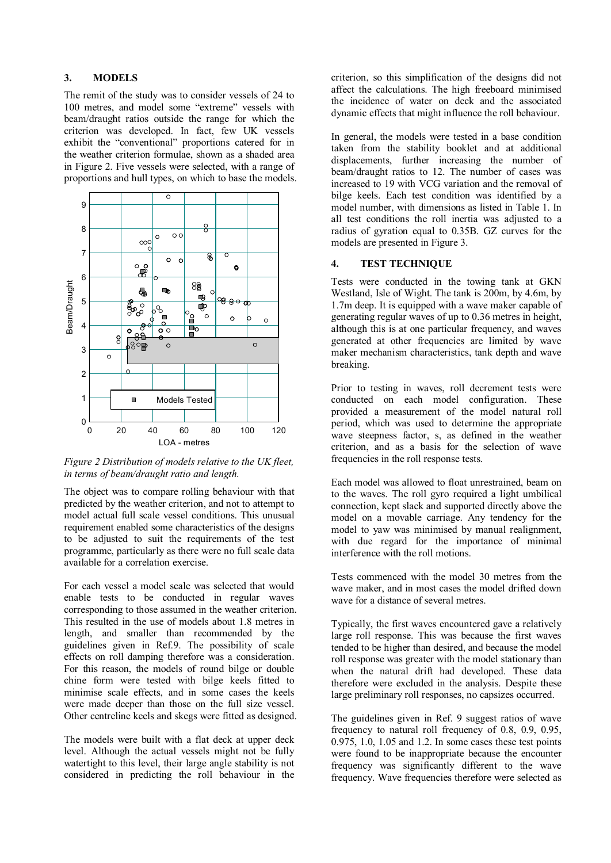### **3. MODELS**

The remit of the study was to consider vessels of 24 to 100 metres, and model some "extreme" vessels with beam/draught ratios outside the range for which the criterion was developed. In fact, few UK vessels exhibit the "conventional" proportions catered for in the weather criterion formulae, shown as a shaded area in Figure 2. Five vessels were selected, with a range of proportions and hull types, on which to base the models.



*Figure 2 Distribution of models relative to the UK fleet, in terms of beam/draught ratio and length.* 

The object was to compare rolling behaviour with that predicted by the weather criterion, and not to attempt to model actual full scale vessel conditions. This unusual requirement enabled some characteristics of the designs to be adjusted to suit the requirements of the test programme, particularly as there were no full scale data available for a correlation exercise.

For each vessel a model scale was selected that would enable tests to be conducted in regular waves corresponding to those assumed in the weather criterion. This resulted in the use of models about 1.8 metres in length, and smaller than recommended by the guidelines given in Ref.9. The possibility of scale effects on roll damping therefore was a consideration. For this reason, the models of round bilge or double chine form were tested with bilge keels fitted to minimise scale effects, and in some cases the keels were made deeper than those on the full size vessel. Other centreline keels and skegs were fitted as designed.

The models were built with a flat deck at upper deck level. Although the actual vessels might not be fully watertight to this level, their large angle stability is not considered in predicting the roll behaviour in the

criterion, so this simplification of the designs did not affect the calculations. The high freeboard minimised the incidence of water on deck and the associated dynamic effects that might influence the roll behaviour.

In general, the models were tested in a base condition taken from the stability booklet and at additional displacements, further increasing the number of beam/draught ratios to 12. The number of cases was increased to 19 with VCG variation and the removal of bilge keels. Each test condition was identified by a model number, with dimensions as listed in Table 1. In all test conditions the roll inertia was adjusted to a radius of gyration equal to 0.35B. GZ curves for the models are presented in Figure 3.

#### **4. TEST TECHNIQUE**

Tests were conducted in the towing tank at GKN Westland, Isle of Wight. The tank is 200m, by 4.6m, by 1.7m deep. It is equipped with a wave maker capable of generating regular waves of up to 0.36 metres in height, although this is at one particular frequency, and waves generated at other frequencies are limited by wave maker mechanism characteristics, tank depth and wave breaking.

Prior to testing in waves, roll decrement tests were conducted on each model configuration. These provided a measurement of the model natural roll period, which was used to determine the appropriate wave steepness factor, s, as defined in the weather criterion, and as a basis for the selection of wave frequencies in the roll response tests.

Each model was allowed to float unrestrained, beam on to the waves. The roll gyro required a light umbilical connection, kept slack and supported directly above the model on a movable carriage. Any tendency for the model to yaw was minimised by manual realignment, with due regard for the importance of minimal interference with the roll motions.

Tests commenced with the model 30 metres from the wave maker, and in most cases the model drifted down wave for a distance of several metres.

Typically, the first waves encountered gave a relatively large roll response. This was because the first waves tended to be higher than desired, and because the model roll response was greater with the model stationary than when the natural drift had developed. These data therefore were excluded in the analysis. Despite these large preliminary roll responses, no capsizes occurred.

The guidelines given in Ref. 9 suggest ratios of wave frequency to natural roll frequency of 0.8, 0.9, 0.95, 0.975, 1.0, 1.05 and 1.2. In some cases these test points were found to be inappropriate because the encounter frequency was significantly different to the wave frequency. Wave frequencies therefore were selected as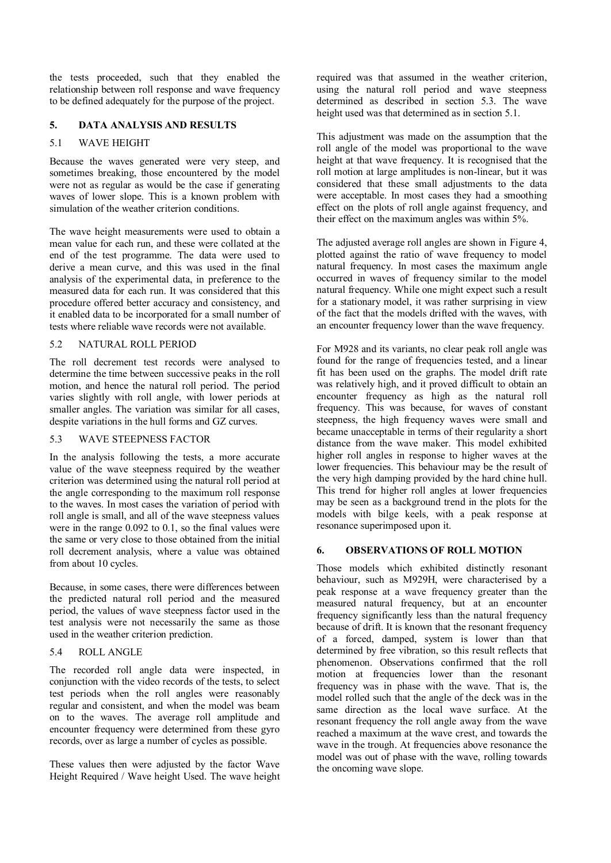the tests proceeded, such that they enabled the relationship between roll response and wave frequency to be defined adequately for the purpose of the project.

## **5. DATA ANALYSIS AND RESULTS**

## 5.1 WAVE HEIGHT

Because the waves generated were very steep, and sometimes breaking, those encountered by the model were not as regular as would be the case if generating waves of lower slope. This is a known problem with simulation of the weather criterion conditions.

The wave height measurements were used to obtain a mean value for each run, and these were collated at the end of the test programme. The data were used to derive a mean curve, and this was used in the final analysis of the experimental data, in preference to the measured data for each run. It was considered that this procedure offered better accuracy and consistency, and it enabled data to be incorporated for a small number of tests where reliable wave records were not available.

## 5.2 NATURAL ROLL PERIOD

The roll decrement test records were analysed to determine the time between successive peaks in the roll motion, and hence the natural roll period. The period varies slightly with roll angle, with lower periods at smaller angles. The variation was similar for all cases, despite variations in the hull forms and GZ curves.

## 5.3 WAVE STEEPNESS FACTOR

In the analysis following the tests, a more accurate value of the wave steepness required by the weather criterion was determined using the natural roll period at the angle corresponding to the maximum roll response to the waves. In most cases the variation of period with roll angle is small, and all of the wave steepness values were in the range 0.092 to 0.1, so the final values were the same or very close to those obtained from the initial roll decrement analysis, where a value was obtained from about 10 cycles.

Because, in some cases, there were differences between the predicted natural roll period and the measured period, the values of wave steepness factor used in the test analysis were not necessarily the same as those used in the weather criterion prediction.

### 5.4 ROLL ANGLE

The recorded roll angle data were inspected, in conjunction with the video records of the tests, to select test periods when the roll angles were reasonably regular and consistent, and when the model was beam on to the waves. The average roll amplitude and encounter frequency were determined from these gyro records, over as large a number of cycles as possible.

These values then were adjusted by the factor Wave Height Required / Wave height Used. The wave height required was that assumed in the weather criterion, using the natural roll period and wave steepness determined as described in section 5.3. The wave height used was that determined as in section 5.1.

This adjustment was made on the assumption that the roll angle of the model was proportional to the wave height at that wave frequency. It is recognised that the roll motion at large amplitudes is non-linear, but it was considered that these small adjustments to the data were acceptable. In most cases they had a smoothing effect on the plots of roll angle against frequency, and their effect on the maximum angles was within 5%.

The adjusted average roll angles are shown in Figure 4, plotted against the ratio of wave frequency to model natural frequency. In most cases the maximum angle occurred in waves of frequency similar to the model natural frequency. While one might expect such a result for a stationary model, it was rather surprising in view of the fact that the models drifted with the waves, with an encounter frequency lower than the wave frequency.

For M928 and its variants, no clear peak roll angle was found for the range of frequencies tested, and a linear fit has been used on the graphs. The model drift rate was relatively high, and it proved difficult to obtain an encounter frequency as high as the natural roll frequency. This was because, for waves of constant steepness, the high frequency waves were small and became unacceptable in terms of their regularity a short distance from the wave maker. This model exhibited higher roll angles in response to higher waves at the lower frequencies. This behaviour may be the result of the very high damping provided by the hard chine hull. This trend for higher roll angles at lower frequencies may be seen as a background trend in the plots for the models with bilge keels, with a peak response at resonance superimposed upon it.

## **6. OBSERVATIONS OF ROLL MOTION**

Those models which exhibited distinctly resonant behaviour, such as M929H, were characterised by a peak response at a wave frequency greater than the measured natural frequency, but at an encounter frequency significantly less than the natural frequency because of drift. It is known that the resonant frequency of a forced, damped, system is lower than that determined by free vibration, so this result reflects that phenomenon. Observations confirmed that the roll motion at frequencies lower than the resonant frequency was in phase with the wave. That is, the model rolled such that the angle of the deck was in the same direction as the local wave surface. At the resonant frequency the roll angle away from the wave reached a maximum at the wave crest, and towards the wave in the trough. At frequencies above resonance the model was out of phase with the wave, rolling towards the oncoming wave slope.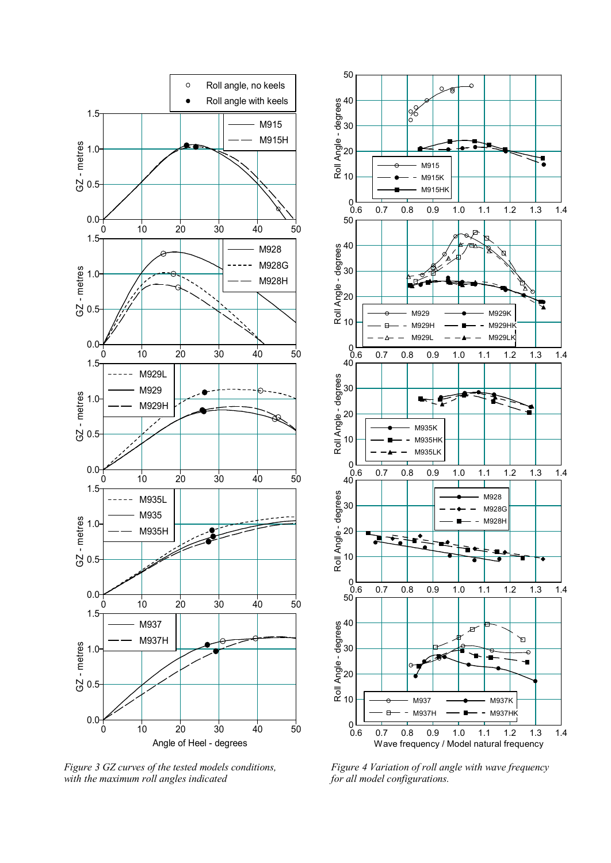

*Figure 3 GZ curves of the tested models conditions, with the maximum roll angles indicated* 



*Figure 4 Variation of roll angle with wave frequency for all model configurations.*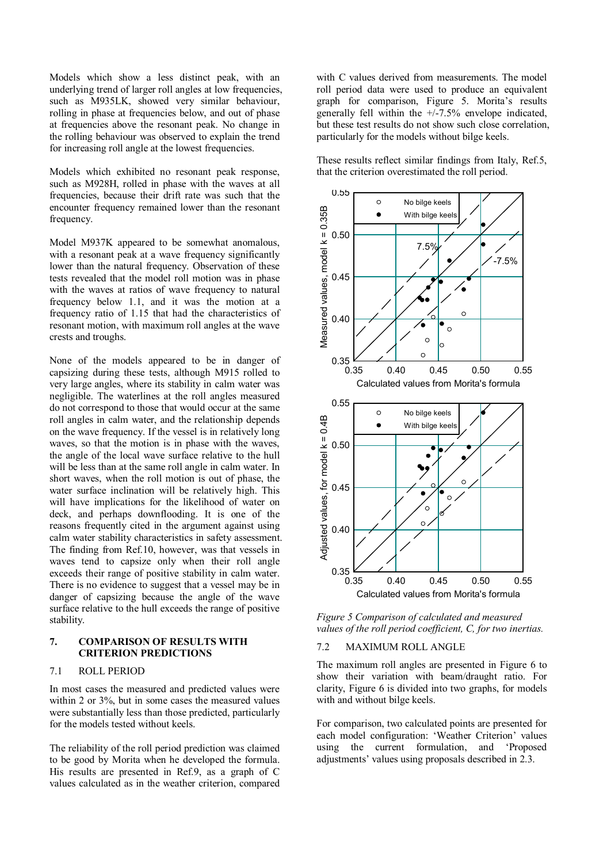Models which show a less distinct peak, with an underlying trend of larger roll angles at low frequencies, such as M935LK, showed very similar behaviour, rolling in phase at frequencies below, and out of phase at frequencies above the resonant peak. No change in the rolling behaviour was observed to explain the trend for increasing roll angle at the lowest frequencies.

Models which exhibited no resonant peak response, such as M928H, rolled in phase with the waves at all frequencies, because their drift rate was such that the encounter frequency remained lower than the resonant frequency.

Model M937K appeared to be somewhat anomalous, with a resonant peak at a wave frequency significantly lower than the natural frequency. Observation of these tests revealed that the model roll motion was in phase with the waves at ratios of wave frequency to natural frequency below 1.1, and it was the motion at a frequency ratio of 1.15 that had the characteristics of resonant motion, with maximum roll angles at the wave crests and troughs.

None of the models appeared to be in danger of capsizing during these tests, although M915 rolled to very large angles, where its stability in calm water was negligible. The waterlines at the roll angles measured do not correspond to those that would occur at the same roll angles in calm water, and the relationship depends on the wave frequency. If the vessel is in relatively long waves, so that the motion is in phase with the waves, the angle of the local wave surface relative to the hull will be less than at the same roll angle in calm water. In short waves, when the roll motion is out of phase, the water surface inclination will be relatively high. This will have implications for the likelihood of water on deck, and perhaps downflooding. It is one of the reasons frequently cited in the argument against using calm water stability characteristics in safety assessment. The finding from Ref.10, however, was that vessels in waves tend to capsize only when their roll angle exceeds their range of positive stability in calm water. There is no evidence to suggest that a vessel may be in danger of capsizing because the angle of the wave surface relative to the hull exceeds the range of positive stability.

#### **7. COMPARISON OF RESULTS WITH CRITERION PREDICTIONS**

#### 7.1 ROLL PERIOD

In most cases the measured and predicted values were within 2 or 3%, but in some cases the measured values were substantially less than those predicted, particularly for the models tested without keels.

The reliability of the roll period prediction was claimed to be good by Morita when he developed the formula. His results are presented in Ref.9, as a graph of C values calculated as in the weather criterion, compared

with C values derived from measurements. The model roll period data were used to produce an equivalent graph for comparison, Figure 5. Morita's results generally fell within the  $+/-7.5%$  envelope indicated, but these test results do not show such close correlation, particularly for the models without bilge keels.

These results reflect similar findings from Italy, Ref.5, that the criterion overestimated the roll period.



*Figure 5 Comparison of calculated and measured values of the roll period coefficient, C, for two inertias.* 

#### 7.2 MAXIMUM ROLL ANGLE

The maximum roll angles are presented in Figure 6 to show their variation with beam/draught ratio. For clarity, Figure 6 is divided into two graphs, for models with and without bilge keels.

For comparison, two calculated points are presented for each model configuration: 'Weather Criterion' values using the current formulation, and 'Proposed adjustments' values using proposals described in 2.3.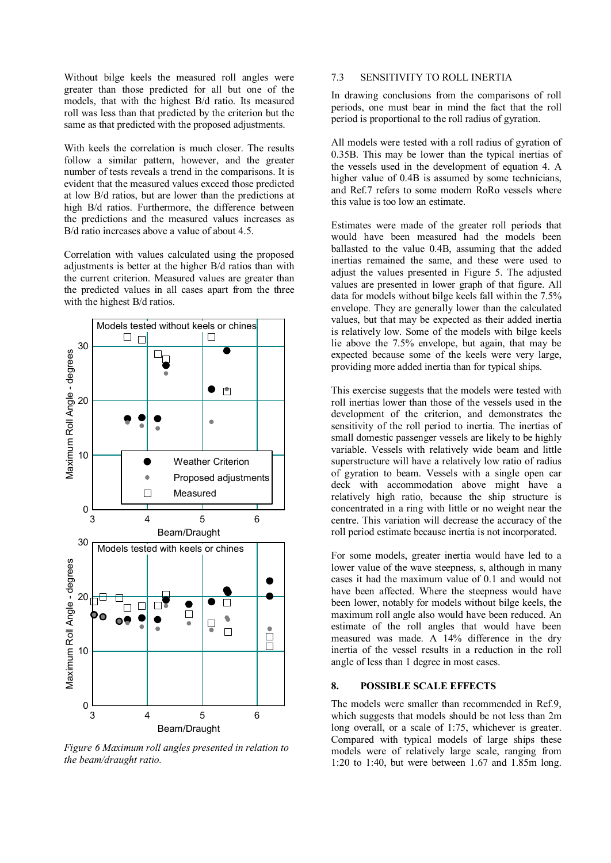Without bilge keels the measured roll angles were greater than those predicted for all but one of the models, that with the highest B/d ratio. Its measured roll was less than that predicted by the criterion but the same as that predicted with the proposed adjustments.

With keels the correlation is much closer. The results follow a similar pattern, however, and the greater number of tests reveals a trend in the comparisons. It is evident that the measured values exceed those predicted at low B/d ratios, but are lower than the predictions at high B/d ratios. Furthermore, the difference between the predictions and the measured values increases as B/d ratio increases above a value of about 4.5.

Correlation with values calculated using the proposed adjustments is better at the higher B/d ratios than with the current criterion. Measured values are greater than the predicted values in all cases apart from the three with the highest B/d ratios.



*Figure 6 Maximum roll angles presented in relation to the beam/draught ratio.* 

#### 7.3 SENSITIVITY TO ROLL INERTIA

In drawing conclusions from the comparisons of roll periods, one must bear in mind the fact that the roll period is proportional to the roll radius of gyration.

All models were tested with a roll radius of gyration of 0.35B. This may be lower than the typical inertias of the vessels used in the development of equation 4. A higher value of 0.4B is assumed by some technicians, and Ref.7 refers to some modern RoRo vessels where this value is too low an estimate.

Estimates were made of the greater roll periods that would have been measured had the models been ballasted to the value 0.4B, assuming that the added inertias remained the same, and these were used to adjust the values presented in Figure 5. The adjusted values are presented in lower graph of that figure. All data for models without bilge keels fall within the 7.5% envelope. They are generally lower than the calculated values, but that may be expected as their added inertia is relatively low. Some of the models with bilge keels lie above the 7.5% envelope, but again, that may be expected because some of the keels were very large, providing more added inertia than for typical ships.

This exercise suggests that the models were tested with roll inertias lower than those of the vessels used in the development of the criterion, and demonstrates the sensitivity of the roll period to inertia. The inertias of small domestic passenger vessels are likely to be highly variable. Vessels with relatively wide beam and little superstructure will have a relatively low ratio of radius of gyration to beam. Vessels with a single open car deck with accommodation above might have a relatively high ratio, because the ship structure is concentrated in a ring with little or no weight near the centre. This variation will decrease the accuracy of the roll period estimate because inertia is not incorporated.

For some models, greater inertia would have led to a lower value of the wave steepness, s, although in many cases it had the maximum value of 0.1 and would not have been affected. Where the steepness would have been lower, notably for models without bilge keels, the maximum roll angle also would have been reduced. An estimate of the roll angles that would have been measured was made. A 14% difference in the dry inertia of the vessel results in a reduction in the roll angle of less than 1 degree in most cases.

#### **8. POSSIBLE SCALE EFFECTS**

The models were smaller than recommended in Ref.9, which suggests that models should be not less than 2m long overall, or a scale of 1:75, whichever is greater. Compared with typical models of large ships these models were of relatively large scale, ranging from 1:20 to 1:40, but were between 1.67 and 1.85m long.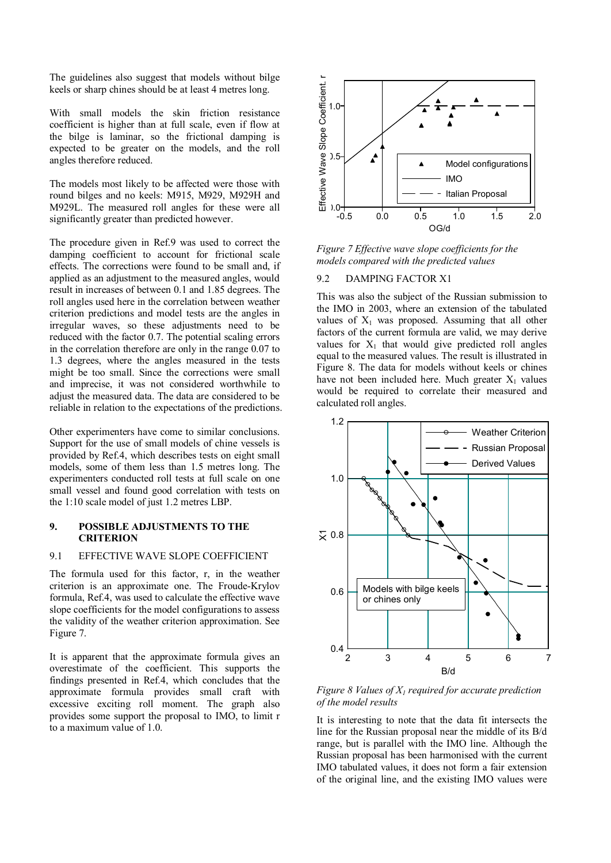The guidelines also suggest that models without bilge keels or sharp chines should be at least 4 metres long.

With small models the skin friction resistance coefficient is higher than at full scale, even if flow at the bilge is laminar, so the frictional damping is expected to be greater on the models, and the roll angles therefore reduced.

The models most likely to be affected were those with round bilges and no keels: M915, M929, M929H and M929L. The measured roll angles for these were all significantly greater than predicted however.

The procedure given in Ref.9 was used to correct the damping coefficient to account for frictional scale effects. The corrections were found to be small and, if applied as an adjustment to the measured angles, would result in increases of between 0.1 and 1.85 degrees. The roll angles used here in the correlation between weather criterion predictions and model tests are the angles in irregular waves, so these adjustments need to be reduced with the factor 0.7. The potential scaling errors in the correlation therefore are only in the range 0.07 to 1.3 degrees, where the angles measured in the tests might be too small. Since the corrections were small and imprecise, it was not considered worthwhile to adjust the measured data. The data are considered to be reliable in relation to the expectations of the predictions.

Other experimenters have come to similar conclusions. Support for the use of small models of chine vessels is provided by Ref.4, which describes tests on eight small models, some of them less than 1.5 metres long. The experimenters conducted roll tests at full scale on one small vessel and found good correlation with tests on the 1:10 scale model of just 1.2 metres LBP.

#### **9. POSSIBLE ADJUSTMENTS TO THE CRITERION**

#### 9.1 EFFECTIVE WAVE SLOPE COEFFICIENT

The formula used for this factor, r, in the weather criterion is an approximate one. The Froude-Krylov formula, Ref.4, was used to calculate the effective wave slope coefficients for the model configurations to assess the validity of the weather criterion approximation. See Figure 7.

It is apparent that the approximate formula gives an overestimate of the coefficient. This supports the findings presented in Ref.4, which concludes that the approximate formula provides small craft with excessive exciting roll moment. The graph also provides some support the proposal to IMO, to limit r to a maximum value of 1.0.



*Figure 7 Effective wave slope coefficients for the models compared with the predicted values* 

#### 9.2 DAMPING FACTOR X1

This was also the subject of the Russian submission to the IMO in 2003, where an extension of the tabulated values of  $X_1$  was proposed. Assuming that all other factors of the current formula are valid, we may derive values for  $X_1$  that would give predicted roll angles equal to the measured values. The result is illustrated in Figure 8. The data for models without keels or chines have not been included here. Much greater  $X_1$  values would be required to correlate their measured and calculated roll angles.



*Figure 8 Values of X<sup>1</sup> required for accurate prediction of the model results* 

It is interesting to note that the data fit intersects the line for the Russian proposal near the middle of its B/d range, but is parallel with the IMO line. Although the Russian proposal has been harmonised with the current IMO tabulated values, it does not form a fair extension of the original line, and the existing IMO values were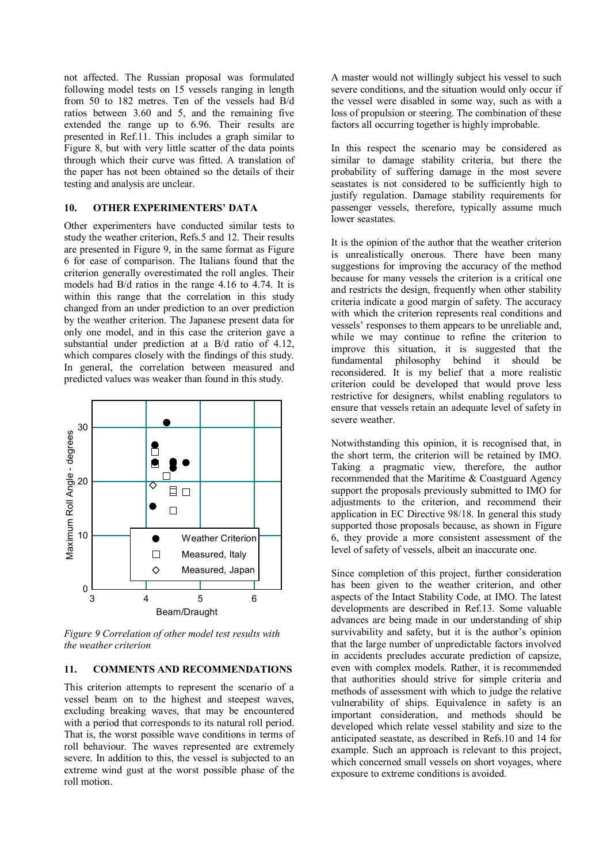not affected. The Russian proposal was formulated following model tests on 15 vessels ranging in length from 50 to 182 metres. Ten of the vessels had B/d ratios between 3.60 and 5, and the remaining five extended the range up to 6.96. Their results are presented in Ref.11. This includes a graph similar to Figure 8, but with very little scatter of the data points through which their curve was fitted. A translation of the paper has not been obtained so the details of their testing and analysis are unclear.

#### **10. OTHER EXPERIMENTERS' DATA**

Other experimenters have conducted similar tests to study the weather criterion, Refs.5 and 12. Their results are presented in Figure 9, in the same format as Figure 6 for ease of comparison. The Italians found that the criterion generally overestimated the roll angles. Their models had B/d ratios in the range 4.16 to 4.74. It is within this range that the correlation in this study changed from an under prediction to an over prediction by the weather criterion. The Japanese present data for only one model, and in this case the criterion gave a substantial under prediction at a B/d ratio of 4.12, which compares closely with the findings of this study. In general, the correlation between measured and predicted values was weaker than found in this study.



*Figure 9 Correlation of other model test results with the weather criterion* 

## **11. COMMENTS AND RECOMMENDATIONS**

This criterion attempts to represent the scenario of a vessel beam on to the highest and steepest waves, excluding breaking waves, that may be encountered with a period that corresponds to its natural roll period. That is, the worst possible wave conditions in terms of roll behaviour. The waves represented are extremely severe. In addition to this, the vessel is subjected to an extreme wind gust at the worst possible phase of the roll motion.

A master would not willingly subject his vessel to such severe conditions, and the situation would only occur if the vessel were disabled in some way, such as with a loss of propulsion or steering. The combination of these factors all occurring together is highly improbable.

In this respect the scenario may be considered as similar to damage stability criteria, but there the probability of suffering damage in the most severe seastates is not considered to be sufficiently high to justify regulation. Damage stability requirements for passenger vessels, therefore, typically assume much lower seastates.

It is the opinion of the author that the weather criterion is unrealistically onerous. There have been many suggestions for improving the accuracy of the method because for many vessels the criterion is a critical one and restricts the design, frequently when other stability criteria indicate a good margin of safety. The accuracy with which the criterion represents real conditions and vessels' responses to them appears to be unreliable and, while we may continue to refine the criterion to improve this situation, it is suggested that the fundamental philosophy behind it should be reconsidered. It is my belief that a more realistic criterion could be developed that would prove less restrictive for designers, whilst enabling regulators to ensure that vessels retain an adequate level of safety in severe weather.

Notwithstanding this opinion, it is recognised that, in the short term, the criterion will be retained by IMO. Taking a pragmatic view, therefore, the author recommended that the Maritime & Coastguard Agency support the proposals previously submitted to IMO for adjustments to the criterion, and recommend their application in EC Directive 98/18. In general this study supported those proposals because, as shown in Figure 6, they provide a more consistent assessment of the level of safety of vessels, albeit an inaccurate one.

Since completion of this project, further consideration has been given to the weather criterion, and other aspects of the Intact Stability Code, at IMO. The latest developments are described in Ref.13. Some valuable advances are being made in our understanding of ship survivability and safety, but it is the author's opinion that the large number of unpredictable factors involved in accidents precludes accurate prediction of capsize, even with complex models. Rather, it is recommended that authorities should strive for simple criteria and methods of assessment with which to judge the relative vulnerability of ships. Equivalence in safety is an important consideration, and methods should be developed which relate vessel stability and size to the anticipated seastate, as described in Refs.10 and 14 for example. Such an approach is relevant to this project, which concerned small vessels on short voyages, where exposure to extreme conditions is avoided.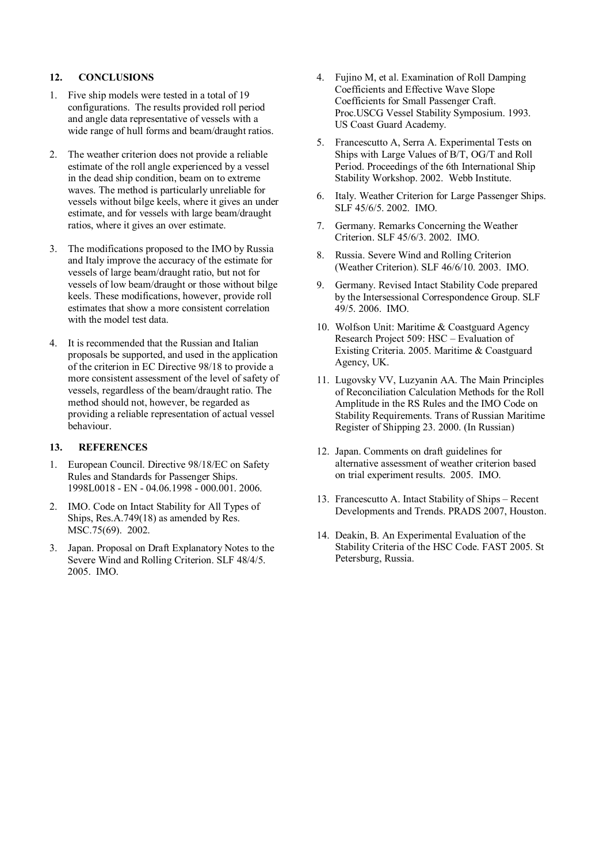## **12. CONCLUSIONS**

- 1. Five ship models were tested in a total of 19 configurations. The results provided roll period and angle data representative of vessels with a wide range of hull forms and beam/draught ratios.
- 2. The weather criterion does not provide a reliable estimate of the roll angle experienced by a vessel in the dead ship condition, beam on to extreme waves. The method is particularly unreliable for vessels without bilge keels, where it gives an under estimate, and for vessels with large beam/draught ratios, where it gives an over estimate.
- 3. The modifications proposed to the IMO by Russia and Italy improve the accuracy of the estimate for vessels of large beam/draught ratio, but not for vessels of low beam/draught or those without bilge keels. These modifications, however, provide roll estimates that show a more consistent correlation with the model test data.
- 4. It is recommended that the Russian and Italian proposals be supported, and used in the application of the criterion in EC Directive 98/18 to provide a more consistent assessment of the level of safety of vessels, regardless of the beam/draught ratio. The method should not, however, be regarded as providing a reliable representation of actual vessel behaviour.

## **13. REFERENCES**

- 1. European Council. Directive 98/18/EC on Safety Rules and Standards for Passenger Ships. 1998L0018 - EN - 04.06.1998 - 000.001. 2006.
- 2. IMO. Code on Intact Stability for All Types of Ships, Res.A.749(18) as amended by Res. MSC.75(69). 2002.
- 3. Japan. Proposal on Draft Explanatory Notes to the Severe Wind and Rolling Criterion. SLF 48/4/5. 2005. IMO.
- 4. Fujino M, et al. Examination of Roll Damping Coefficients and Effective Wave Slope Coefficients for Small Passenger Craft. Proc.USCG Vessel Stability Symposium. 1993. US Coast Guard Academy.
- 5. Francescutto A, Serra A. Experimental Tests on Ships with Large Values of B/T, OG/T and Roll Period. Proceedings of the 6th International Ship Stability Workshop. 2002. Webb Institute.
- 6. Italy. Weather Criterion for Large Passenger Ships. SLF 45/6/5. 2002. IMO.
- 7. Germany. Remarks Concerning the Weather Criterion. SLF 45/6/3. 2002. IMO.
- 8. Russia. Severe Wind and Rolling Criterion (Weather Criterion). SLF 46/6/10. 2003. IMO.
- 9. Germany. Revised Intact Stability Code prepared by the Intersessional Correspondence Group. SLF 49/5. 2006. IMO.
- 10. Wolfson Unit: Maritime & Coastguard Agency Research Project 509: HSC – Evaluation of Existing Criteria. 2005. Maritime & Coastguard Agency, UK.
- 11. Lugovsky VV, Luzyanin AA. The Main Principles of Reconciliation Calculation Methods for the Roll Amplitude in the RS Rules and the IMO Code on Stability Requirements. Trans of Russian Maritime Register of Shipping 23. 2000. (In Russian)
- 12. Japan. Comments on draft guidelines for alternative assessment of weather criterion based on trial experiment results. 2005. IMO.
- 13. Francescutto A. Intact Stability of Ships Recent Developments and Trends. PRADS 2007, Houston.
- 14. Deakin, B. An Experimental Evaluation of the Stability Criteria of the HSC Code. FAST 2005. St Petersburg, Russia.